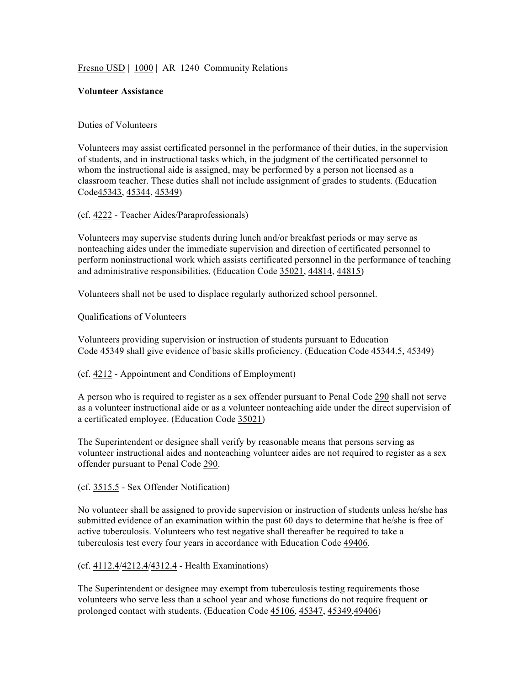Fresno USD | 1000 | AR 1240 Community Relations

## **Volunteer Assistance**

## Duties of Volunteers

Volunteers may assist certificated personnel in the performance of their duties, in the supervision of students, and in instructional tasks which, in the judgment of the certificated personnel to whom the instructional aide is assigned, may be performed by a person not licensed as a classroom teacher. These duties shall not include assignment of grades to students. (Education Code45343, 45344, 45349)

(cf. 4222 - Teacher Aides/Paraprofessionals)

Volunteers may supervise students during lunch and/or breakfast periods or may serve as nonteaching aides under the immediate supervision and direction of certificated personnel to perform noninstructional work which assists certificated personnel in the performance of teaching and administrative responsibilities. (Education Code 35021, 44814, 44815)

Volunteers shall not be used to displace regularly authorized school personnel.

Qualifications of Volunteers

Volunteers providing supervision or instruction of students pursuant to Education Code 45349 shall give evidence of basic skills proficiency. (Education Code 45344.5, 45349)

(cf. 4212 - Appointment and Conditions of Employment)

A person who is required to register as a sex offender pursuant to Penal Code 290 shall not serve as a volunteer instructional aide or as a volunteer nonteaching aide under the direct supervision of a certificated employee. (Education Code 35021)

The Superintendent or designee shall verify by reasonable means that persons serving as volunteer instructional aides and nonteaching volunteer aides are not required to register as a sex offender pursuant to Penal Code 290.

(cf. 3515.5 - Sex Offender Notification)

No volunteer shall be assigned to provide supervision or instruction of students unless he/she has submitted evidence of an examination within the past 60 days to determine that he/she is free of active tuberculosis. Volunteers who test negative shall thereafter be required to take a tuberculosis test every four years in accordance with Education Code 49406.

## (cf. 4112.4/4212.4/4312.4 - Health Examinations)

The Superintendent or designee may exempt from tuberculosis testing requirements those volunteers who serve less than a school year and whose functions do not require frequent or prolonged contact with students. (Education Code 45106, 45347, 45349,49406)